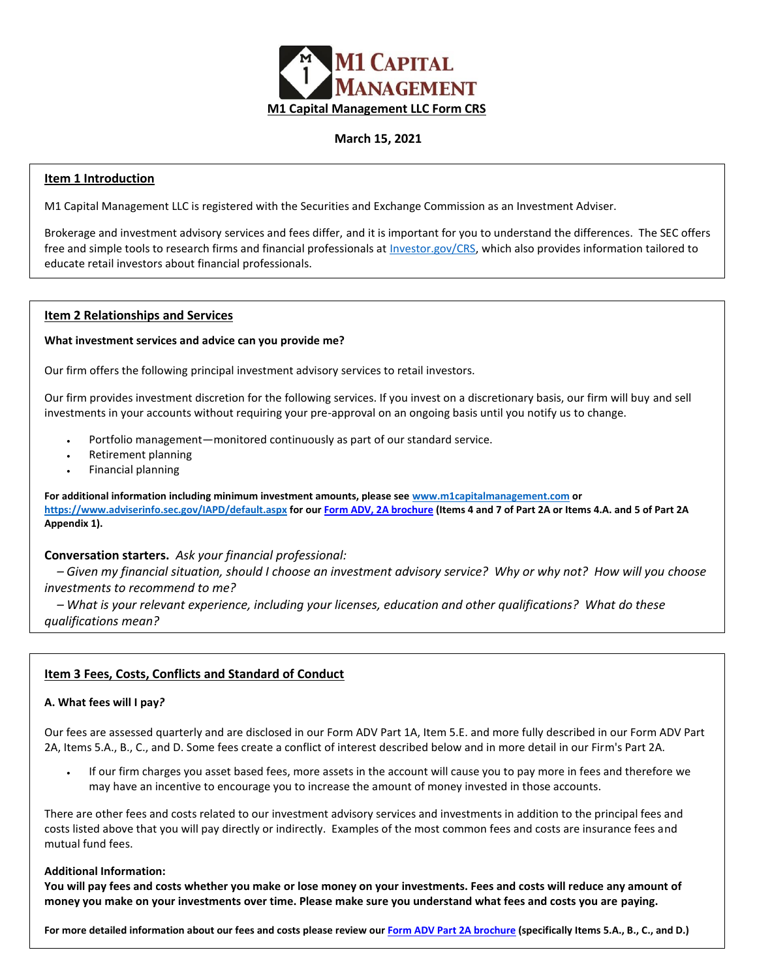

# **March 15, 2021**

## **Item 1 Introduction**

M1 Capital Management LLC is registered with the Securities and Exchange Commission as an Investment Adviser.

Brokerage and investment advisory services and fees differ, and it is important for you to understand the differences.  The SEC offers free and simple tools to research firms and financial professionals at [Investor.gov/CRS,](http://investor.gov/crs) which also provides information tailored to educate retail investors about financial professionals.

### **Item 2 Relationships and Services**

#### **What investment services and advice can you provide me?**

Our firm offers the following principal investment advisory services to retail investors.

Our firm provides investment discretion for the following services. If you invest on a discretionary basis, our firm will buy and sell investments in your accounts without requiring your pre-approval on an ongoing basis until you notify us to change.

- Portfolio management—monitored continuously as part of our standard service.
- Retirement planning
- Financial planning

**For additional information including minimum investment amounts, please see [www.m1capitalmanagement.com](http://www.m1capitalmanagement.com/) or <https://www.adviserinfo.sec.gov/IAPD/default.aspx> for ou[r Form ADV, 2A brochure](https://www.m1capitalmanagement.com/pdfs/form-adv-part-2-3-18-20.pdf) (Items 4 and 7 of Part 2A or Items 4.A. and 5 of Part 2A Appendix 1).**

# **Conversation starters.***Ask your financial professional:*

*– Given my financial situation, should I choose an investment advisory service?  Why or why not?  How will you choose investments to recommend to me?*

*– What is your relevant experience, including your licenses, education and other qualifications?  What do these qualifications mean?*

# **Item 3 Fees, Costs, Conflicts and Standard of Conduct**

# **A. What fees will I pay***?*

Our fees are assessed quarterly and are disclosed in our Form ADV Part 1A, Item 5.E. and more fully described in our Form ADV Part 2A, Items 5.A., B., C., and D. Some fees create a conflict of interest described below and in more detail in our Firm's Part 2A.

 If our firm charges you asset based fees, more assets in the account will cause you to pay more in fees and therefore we may have an incentive to encourage you to increase the amount of money invested in those accounts.

There are other fees and costs related to our investment advisory services and investments in addition to the principal fees and costs listed above that you will pay directly or indirectly. Examples of the most common fees and costs are insurance fees and mutual fund fees.

#### **Additional Information:**

**You will pay fees and costs whether you make or lose money on your investments. Fees and costs will reduce any amount of money you make on your investments over time. Please make sure you understand what fees and costs you are paying.**

**For more detailed information about our fees and costs please review our Form ADV [Part 2A brochure](https://www.m1capitalmanagement.com/pdfs/form-adv-part-2-3-18-20.pdf) (specifically Items 5.A., B., C., and D.)**